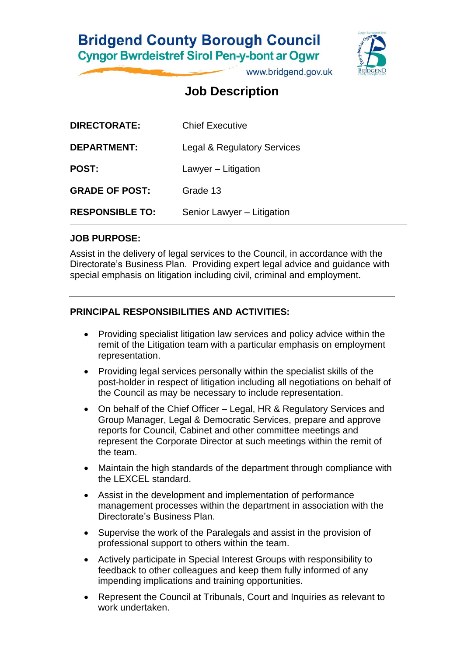# **Bridgend County Borough Council Cyngor Bwrdeistref Sirol Pen-y-bont ar Ogwr**

www.bridgend.gov.uk

# **Job Description**

| <b>DIRECTORATE:</b>    | <b>Chief Executive</b>                 |
|------------------------|----------------------------------------|
| <b>DEPARTMENT:</b>     | <b>Legal &amp; Regulatory Services</b> |
| <b>POST:</b>           | Lawyer – Litigation                    |
| <b>GRADE OF POST:</b>  | Grade 13                               |
| <b>RESPONSIBLE TO:</b> | Senior Lawyer - Litigation             |

### **JOB PURPOSE:**

Assist in the delivery of legal services to the Council, in accordance with the Directorate's Business Plan. Providing expert legal advice and guidance with special emphasis on litigation including civil, criminal and employment.

## **PRINCIPAL RESPONSIBILITIES AND ACTIVITIES:**

- Providing specialist litigation law services and policy advice within the remit of the Litigation team with a particular emphasis on employment representation.
- Providing legal services personally within the specialist skills of the post-holder in respect of litigation including all negotiations on behalf of the Council as may be necessary to include representation.
- On behalf of the Chief Officer Legal, HR & Regulatory Services and Group Manager, Legal & Democratic Services, prepare and approve reports for Council, Cabinet and other committee meetings and represent the Corporate Director at such meetings within the remit of the team.
- Maintain the high standards of the department through compliance with the LEXCEL standard.
- Assist in the development and implementation of performance management processes within the department in association with the Directorate's Business Plan.
- Supervise the work of the Paralegals and assist in the provision of professional support to others within the team.
- Actively participate in Special Interest Groups with responsibility to feedback to other colleagues and keep them fully informed of any impending implications and training opportunities.
- Represent the Council at Tribunals, Court and Inquiries as relevant to work undertaken.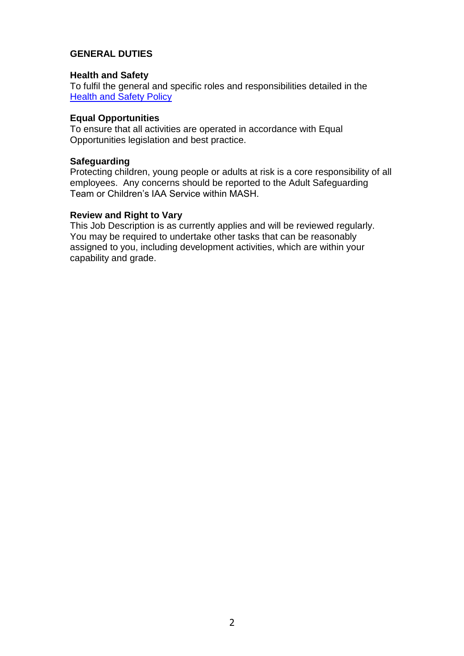### **GENERAL DUTIES**

#### **Health and Safety**

To fulfil the general and specific roles and responsibilities detailed in the **[Health and Safety Policy](http://www.bridgenders.net/healthandsafety/Documents/Policies/Corporate%20Health%20and%20Safety%20Policy.pdf)** 

#### **Equal Opportunities**

To ensure that all activities are operated in accordance with Equal Opportunities legislation and best practice.

#### **Safeguarding**

Protecting children, young people or adults at risk is a core responsibility of all employees. Any concerns should be reported to the Adult Safeguarding Team or Children's IAA Service within MASH.

#### **Review and Right to Vary**

This Job Description is as currently applies and will be reviewed regularly. You may be required to undertake other tasks that can be reasonably assigned to you, including development activities, which are within your capability and grade.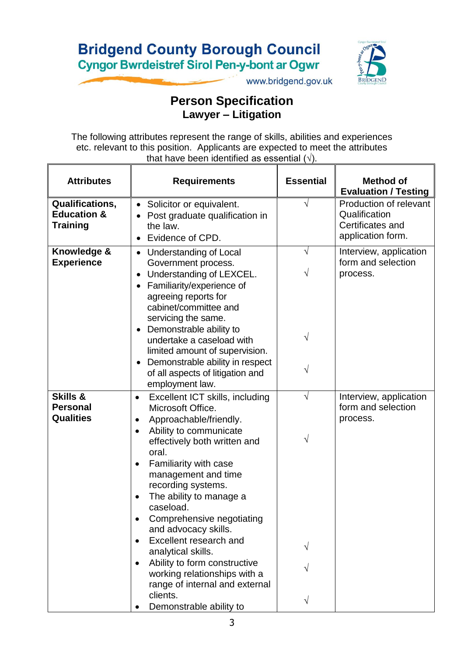# **Bridgend County Borough Council Cyngor Bwrdeistref Sirol Pen-y-bont ar Ogwr**



www.bridgend.gov.uk

## **Person Specification Lawyer – Litigation**

The following attributes represent the range of skills, abilities and experiences etc. relevant to this position. Applicants are expected to meet the attributes that have been identified as essential  $(\sqrt{)}$ .

| <b>Attributes</b>                                                   | <b>Requirements</b>                                                                                                                                                                                                                                                                                                                                                                                                                                                                                                                                                                      | <b>Essential</b>         | <b>Method of</b><br><b>Evaluation / Testing</b>                                  |
|---------------------------------------------------------------------|------------------------------------------------------------------------------------------------------------------------------------------------------------------------------------------------------------------------------------------------------------------------------------------------------------------------------------------------------------------------------------------------------------------------------------------------------------------------------------------------------------------------------------------------------------------------------------------|--------------------------|----------------------------------------------------------------------------------|
| <b>Qualifications,</b><br><b>Education &amp;</b><br><b>Training</b> | Solicitor or equivalent.<br>$\bullet$<br>Post graduate qualification in<br>the law.<br>Evidence of CPD.<br>$\bullet$                                                                                                                                                                                                                                                                                                                                                                                                                                                                     |                          | Production of relevant<br>Qualification<br>Certificates and<br>application form. |
| Knowledge &<br><b>Experience</b>                                    | • Understanding of Local<br>Government process.<br>Understanding of LEXCEL.<br>$\bullet$<br>Familiarity/experience of<br>$\bullet$<br>agreeing reports for<br>cabinet/committee and<br>servicing the same.<br>Demonstrable ability to<br>$\bullet$<br>undertake a caseload with<br>limited amount of supervision.<br>Demonstrable ability in respect<br>$\bullet$<br>of all aspects of litigation and<br>employment law.                                                                                                                                                                 | $\sqrt{ }$<br>V          | Interview, application<br>form and selection<br>process.                         |
| <b>Skills &amp;</b><br><b>Personal</b><br><b>Qualities</b>          | Excellent ICT skills, including<br>$\bullet$<br>Microsoft Office.<br>Approachable/friendly.<br>٠<br>Ability to communicate<br>$\bullet$<br>effectively both written and<br>oral.<br>Familiarity with case<br>$\bullet$<br>management and time<br>recording systems.<br>The ability to manage a<br>٠<br>caseload.<br>Comprehensive negotiating<br>and advocacy skills.<br>Excellent research and<br>$\bullet$<br>analytical skills.<br>Ability to form constructive<br>$\bullet$<br>working relationships with a<br>range of internal and external<br>clients.<br>Demonstrable ability to | $\sqrt{}$<br>V<br>V<br>V | Interview, application<br>form and selection<br>process.                         |